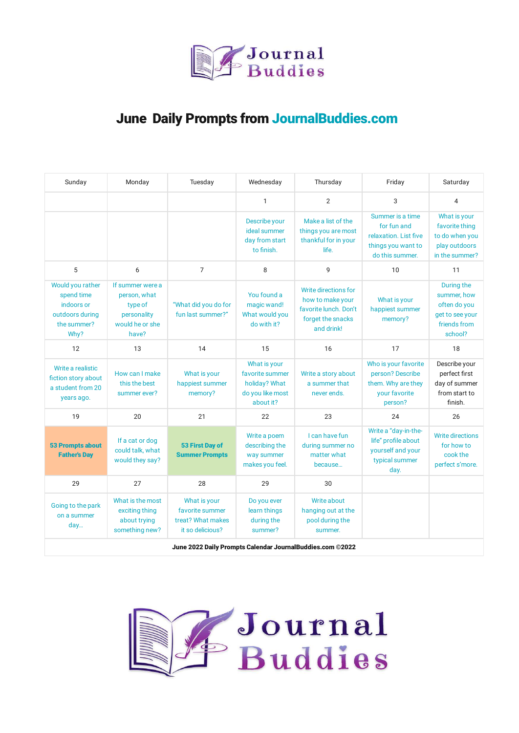

## June Daily Prompts from [JournalBuddies.com](https://www.journalbuddies.com/)

| Sunday                                                                                 | Monday                                                                                 | Tuesday                                                                  | Wednesday                                                                         | Thursday                                                                                             | Friday                                                                                            | Saturday                                                                                |
|----------------------------------------------------------------------------------------|----------------------------------------------------------------------------------------|--------------------------------------------------------------------------|-----------------------------------------------------------------------------------|------------------------------------------------------------------------------------------------------|---------------------------------------------------------------------------------------------------|-----------------------------------------------------------------------------------------|
|                                                                                        |                                                                                        |                                                                          | $\mathbf{1}$                                                                      | $\overline{2}$                                                                                       | 3                                                                                                 | 4                                                                                       |
|                                                                                        |                                                                                        |                                                                          | Describe your<br>ideal summer<br>day from start<br>to finish.                     | Make a list of the<br>things you are most<br>thankful for in your<br>life.                           | Summer is a time<br>for fun and<br>relaxation. List five<br>things you want to<br>do this summer. | What is your<br>favorite thing<br>to do when you<br>play outdoors<br>in the summer?     |
| 5                                                                                      | 6                                                                                      | $\overline{7}$                                                           | 8                                                                                 | 9                                                                                                    | 10                                                                                                | 11                                                                                      |
| Would you rather<br>spend time<br>indoors or<br>outdoors during<br>the summer?<br>Why? | If summer were a<br>person, what<br>type of<br>personality<br>would he or she<br>have? | "What did you do for<br>fun last summer?"                                | You found a<br>magic wand!<br>What would you<br>do with it?                       | Write directions for<br>how to make your<br>favorite lunch. Don't<br>forget the snacks<br>and drink! | What is your<br>happiest summer<br>memory?                                                        | During the<br>summer, how<br>often do you<br>get to see your<br>friends from<br>school? |
| 12                                                                                     | 13                                                                                     | 14                                                                       | 15                                                                                | 16                                                                                                   | 17                                                                                                | 18                                                                                      |
| Write a realistic<br>fiction story about<br>a student from 20<br>years ago.            | How can I make<br>this the best<br>summer ever?                                        | What is your<br>happiest summer<br>memory?                               | What is your<br>favorite summer<br>holiday? What<br>do you like most<br>about it? | Write a story about<br>a summer that<br>never ends.                                                  | Who is your favorite<br>person? Describe<br>them. Why are they<br>your favorite<br>person?        | Describe your<br>perfect first<br>day of summer<br>from start to<br>finish.             |
| 19                                                                                     | 20                                                                                     | 21                                                                       | 22                                                                                | 23                                                                                                   | 24                                                                                                | 26                                                                                      |
| <b>53 Prompts about</b><br><b>Father's Day</b>                                         | If a cat or dog<br>could talk, what<br>would they say?                                 | <b>53 First Day of</b><br><b>Summer Prompts</b>                          | Write a poem<br>describing the<br>way summer<br>makes you feel.                   | I can have fun<br>during summer no<br>matter what<br>because                                         | Write a "day-in-the-<br>life" profile about<br>yourself and your<br>typical summer<br>day.        | <b>Write directions</b><br>for how to<br>cook the<br>perfect s'more.                    |
| 29                                                                                     | 27                                                                                     | 28                                                                       | 29                                                                                | 30                                                                                                   |                                                                                                   |                                                                                         |
| Going to the park<br>on a summer<br>day                                                | What is the most<br>exciting thing<br>about trying<br>something new?                   | What is your<br>favorite summer<br>treat? What makes<br>it so delicious? | Do you ever<br>learn things<br>during the<br>summer?                              | Write about<br>hanging out at the<br>pool during the<br>summer.                                      |                                                                                                   |                                                                                         |
|                                                                                        |                                                                                        | June 2022 Daily Prompts Calendar JournalBuddies.com ©2022                |                                                                                   |                                                                                                      |                                                                                                   |                                                                                         |